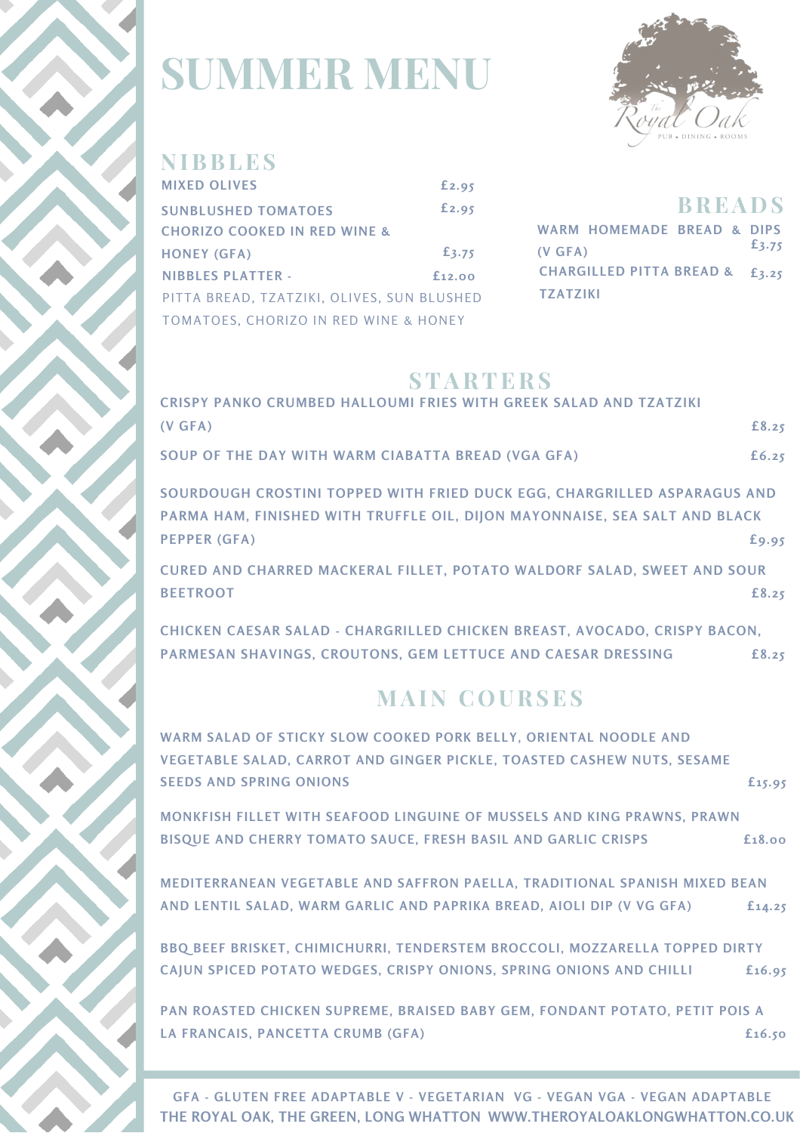

## **SUMMER MENU**



### **N IBBLES**

| <b>MIXED OLIVES</b>                        | £2.95       |
|--------------------------------------------|-------------|
| <b>SUNBLUSHED TOMATOES</b>                 | £2.95       |
| <b>CHORIZO COOKED IN RED WINE &amp;</b>    |             |
| <b>HONEY (GFA)</b>                         | £3.75       |
| <b>NIBBLES PLATTER -</b>                   | $f_{12,00}$ |
| PITTA BREAD, TZATZIKI, OLIVES, SUN BLUSHED |             |
| TOMATOES, CHORIZO IN RED WINE & HONEY      |             |

|                                | <b>BREADS</b> |       |
|--------------------------------|---------------|-------|
| WARM HOMEMADE BREAD & DIPS     |               |       |
| (V GFA)                        |               | £3.75 |
| CHARGILLED PITTA BREAD & £3.25 |               |       |
| <b>TZATZIKI</b>                |               |       |

#### **STARTERS**

| CRISPY PANKO CRUMBED HALLOUMI FRIES WITH GREEK SALAD AND TZATZIKI          |       |
|----------------------------------------------------------------------------|-------|
| (V GFA)                                                                    | £8.25 |
| SOUP OF THE DAY WITH WARM CIABATTA BREAD (VGA GFA)                         | £6.25 |
| SOURDOUGH CROSTINI TOPPED WITH FRIED DUCK EGG, CHARGRILLED ASPARAGUS AND   |       |
| PARMA HAM, FINISHED WITH TRUFFLE OIL, DIJON MAYONNAISE, SEA SALT AND BLACK |       |
| <b>PEPPER (GFA)</b>                                                        | £9.95 |
| CURED AND CHARRED MACKERAL FILLET, POTATO WALDORF SALAD, SWEET AND SOUR    |       |
| <b>BEETROOT</b>                                                            | £8.25 |
| CHICKEN CAESAR SALAD - CHARGRILLED CHICKEN BREAST, AVOCADO, CRISPY BACON,  |       |
| PARMESAN SHAVINGS, CROUTONS, GEM LETTUCE AND CAESAR DRESSING               | £8.25 |
|                                                                            |       |
| <b>MAIN COURSES</b>                                                        |       |
| WARM SALAD OF STICKY SLOW COOKED PORK BELLY, ORIENTAL NOODLE AND           |       |

| VEGETABLE SALAD, CARROT AND GINGER PICKLE, TOASTED CASHEW NUTS, SESAME      |             |
|-----------------------------------------------------------------------------|-------------|
| <b>SEEDS AND SPRING ONIONS</b>                                              | £15.95      |
| MONKFISH FILLET WITH SEAFOOD LINGUINE OF MUSSELS AND KING PRAWNS, PRAWN     |             |
| BISQUE AND CHERRY TOMATO SAUCE, FRESH BASIL AND GARLIC CRISPS               | £18.00      |
| MEDITERRANEAN VEGETABLE AND SAFFRON PAELLA, TRADITIONAL SPANISH MIXED BEAN  |             |
| AND LENTIL SALAD, WARM GARLIC AND PAPRIKA BREAD, AIOLI DIP (V VG GFA)       | $f_{14.25}$ |
| BBQ BEEF BRISKET, CHIMICHURRI, TENDERSTEM BROCCOLI, MOZZARELLA TOPPED DIRTY |             |
| CAJUN SPICED POTATO WEDGES, CRISPY ONIONS, SPRING ONIONS AND CHILLI         | £16.95      |
| PAN ROASTED CHICKEN SUPREME, BRAISED BABY GEM, FONDANT POTATO, PETIT POIS A |             |
| LA FRANCAIS, PANCETTA CRUMB (GFA)                                           | f16.50      |

**THE ROYAL OAK, THE GREEN, LONG WHATTON WWW.THEROYALOAKLONGWHATTON.CO.UK GFA - GLUTEN FREE ADAPTABLE V - VEGETARIAN VG - VEGAN VGA - VEGAN ADAPTABLE**